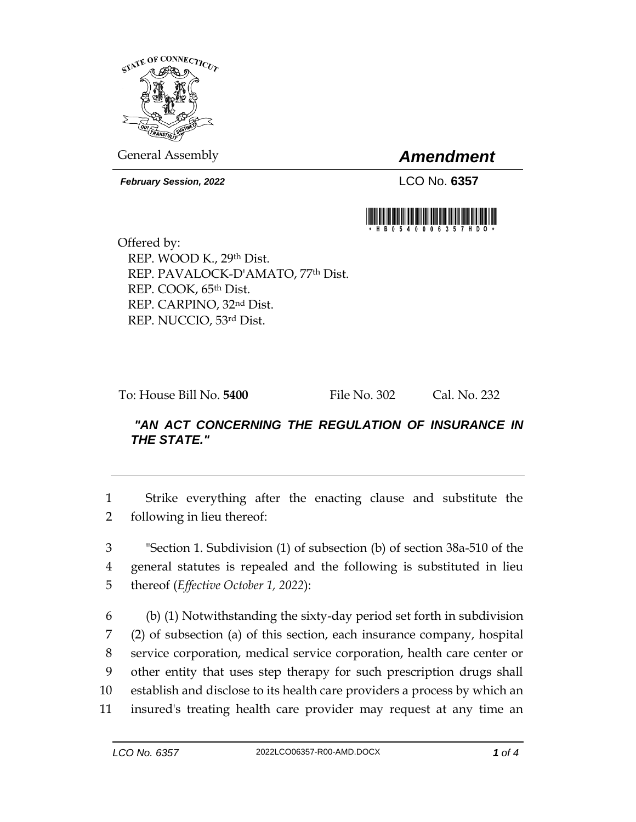

General Assembly *Amendment*

*February Session, 2022* LCO No. **6357**



Offered by: REP. WOOD K., 29th Dist. REP. PAVALOCK-D'AMATO, 77th Dist. REP. COOK, 65th Dist. REP. CARPINO, 32nd Dist. REP. NUCCIO, 53rd Dist.

To: House Bill No. **5400** File No. 302 Cal. No. 232

## *"AN ACT CONCERNING THE REGULATION OF INSURANCE IN THE STATE."*

1 Strike everything after the enacting clause and substitute the 2 following in lieu thereof:

3 "Section 1. Subdivision (1) of subsection (b) of section 38a-510 of the 4 general statutes is repealed and the following is substituted in lieu 5 thereof (*Effective October 1, 2022*):

 (b) (1) Notwithstanding the sixty-day period set forth in subdivision (2) of subsection (a) of this section, each insurance company, hospital service corporation, medical service corporation, health care center or other entity that uses step therapy for such prescription drugs shall establish and disclose to its health care providers a process by which an insured's treating health care provider may request at any time an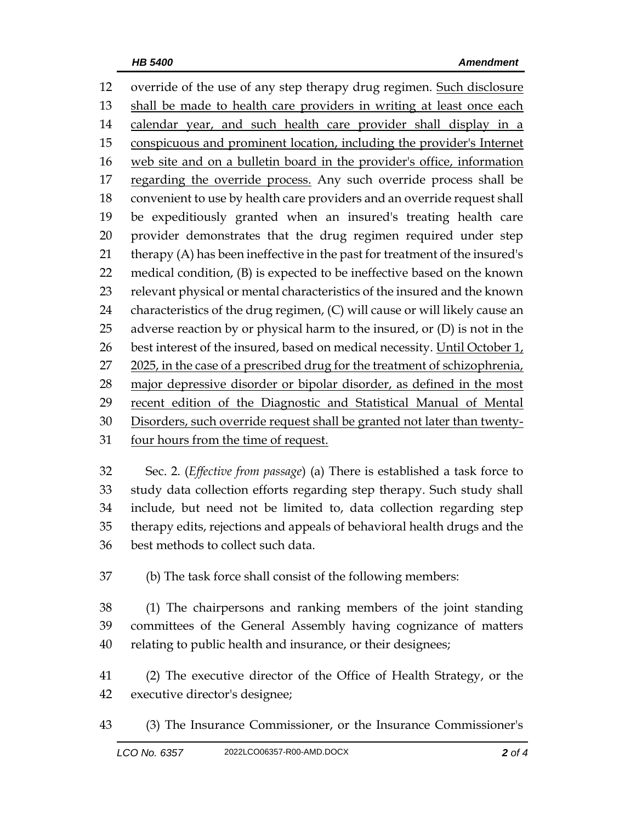override of the use of any step therapy drug regimen. Such disclosure shall be made to health care providers in writing at least once each 14 calendar year, and such health care provider shall display in a conspicuous and prominent location, including the provider's Internet web site and on a bulletin board in the provider's office, information 17 regarding the override process. Any such override process shall be convenient to use by health care providers and an override request shall be expeditiously granted when an insured's treating health care provider demonstrates that the drug regimen required under step therapy (A) has been ineffective in the past for treatment of the insured's medical condition, (B) is expected to be ineffective based on the known relevant physical or mental characteristics of the insured and the known characteristics of the drug regimen, (C) will cause or will likely cause an adverse reaction by or physical harm to the insured, or (D) is not in the 26 best interest of the insured, based on medical necessity. Until October  $1_t$  2025, in the case of a prescribed drug for the treatment of schizophrenia, major depressive disorder or bipolar disorder, as defined in the most 29 recent edition of the Diagnostic and Statistical Manual of Mental Disorders, such override request shall be granted not later than twenty-four hours from the time of request.

 Sec. 2. (*Effective from passage*) (a) There is established a task force to study data collection efforts regarding step therapy. Such study shall include, but need not be limited to, data collection regarding step therapy edits, rejections and appeals of behavioral health drugs and the best methods to collect such data.

(b) The task force shall consist of the following members:

 (1) The chairpersons and ranking members of the joint standing committees of the General Assembly having cognizance of matters relating to public health and insurance, or their designees;

 (2) The executive director of the Office of Health Strategy, or the executive director's designee;

(3) The Insurance Commissioner, or the Insurance Commissioner's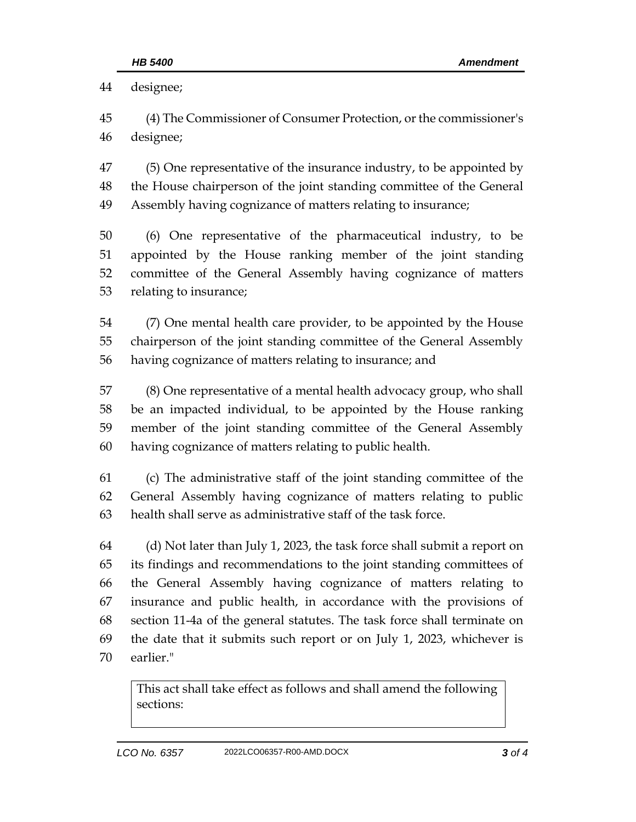designee; (4) The Commissioner of Consumer Protection, or the commissioner's designee; (5) One representative of the insurance industry, to be appointed by the House chairperson of the joint standing committee of the General Assembly having cognizance of matters relating to insurance; (6) One representative of the pharmaceutical industry, to be appointed by the House ranking member of the joint standing committee of the General Assembly having cognizance of matters relating to insurance; (7) One mental health care provider, to be appointed by the House chairperson of the joint standing committee of the General Assembly having cognizance of matters relating to insurance; and (8) One representative of a mental health advocacy group, who shall be an impacted individual, to be appointed by the House ranking member of the joint standing committee of the General Assembly having cognizance of matters relating to public health. (c) The administrative staff of the joint standing committee of the General Assembly having cognizance of matters relating to public health shall serve as administrative staff of the task force. (d) Not later than July 1, 2023, the task force shall submit a report on its findings and recommendations to the joint standing committees of the General Assembly having cognizance of matters relating to insurance and public health, in accordance with the provisions of section 11-4a of the general statutes. The task force shall terminate on the date that it submits such report or on July 1, 2023, whichever is earlier."

This act shall take effect as follows and shall amend the following sections: